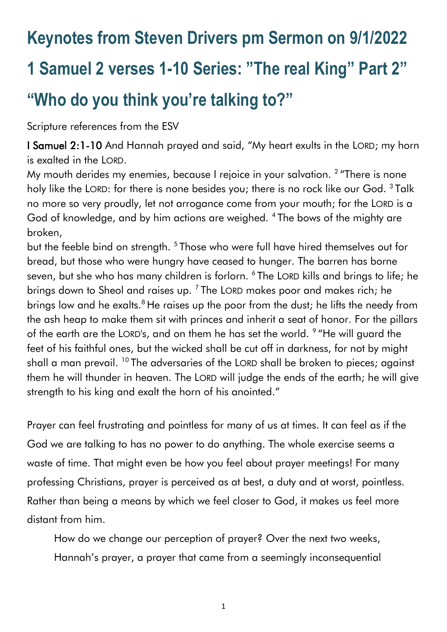# **Keynotes from Steven Drivers pm Sermon on 9/1/2022 1 Samuel 2 verses 1-10 Series: "The real King" Part 2" "Who do you think you're talking to?"**

Scripture references from the ESV

I Samuel 2:1-10 And Hannah prayed and said, "My heart exults in the LORD; my horn is exalted in the LORD.

My mouth derides my enemies, because I rejoice in your salvation.  $^2$  "There is none holy like the LORD: for there is none besides you; there is no rock like our God. <sup>3</sup> Talk no more so very proudly, let not arrogance come from your mouth; for the LORD is a God of knowledge, and by him actions are weighed. <sup>4</sup> The bows of the mighty are broken,

but the feeble bind on strength. <sup>5</sup> Those who were full have hired themselves out for bread, but those who were hungry have ceased to hunger. The barren has borne seven, but she who has many children is forlorn. 6 The LORD kills and brings to life; he brings down to Sheol and raises up.<sup>7</sup> The LORD makes poor and makes rich; he brings low and he exalts.<sup>8</sup> He raises up the poor from the dust; he lifts the needy from the ash heap to make them sit with princes and inherit a seat of honor. For the pillars of the earth are the LORD's, and on them he has set the world. <sup>9</sup> "He will guard the feet of his faithful ones, but the wicked shall be cut off in darkness, for not by might shall a man prevail. <sup>10</sup> The adversaries of the LORD shall be broken to pieces; against them he will thunder in heaven. The LORD will judge the ends of the earth; he will give strength to his king and exalt the horn of his anointed."

Prayer can feel frustrating and pointless for many of us at times. It can feel as if the God we are talking to has no power to do anything. The whole exercise seems a waste of time. That might even be how you feel about prayer meetings! For many professing Christians, prayer is perceived as at best, a duty and at worst, pointless. Rather than being a means by which we feel closer to God, it makes us feel more distant from him.

How do we change our perception of prayer? Over the next two weeks, Hannah's prayer, a prayer that came from a seemingly inconsequential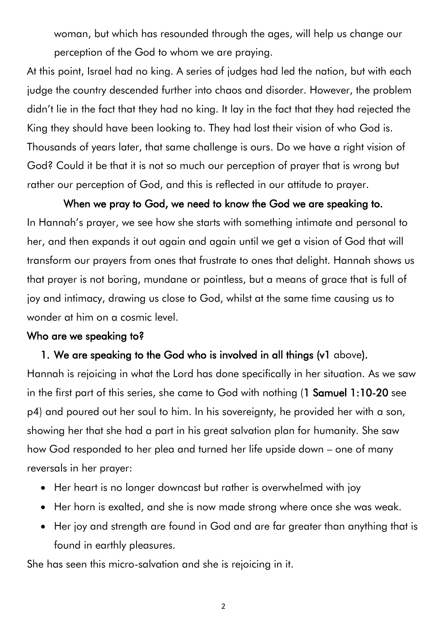woman, but which has resounded through the ages, will help us change our perception of the God to whom we are praying.

At this point, Israel had no king. A series of judges had led the nation, but with each judge the country descended further into chaos and disorder. However, the problem didn't lie in the fact that they had no king. It lay in the fact that they had rejected the King they should have been looking to. They had lost their vision of who God is. Thousands of years later, that same challenge is ours. Do we have a right vision of God? Could it be that it is not so much our perception of prayer that is wrong but rather our perception of God, and this is reflected in our attitude to prayer.

When we pray to God, we need to know the God we are speaking to. In Hannah's prayer, we see how she starts with something intimate and personal to her, and then expands it out again and again until we get a vision of God that will transform our prayers from ones that frustrate to ones that delight. Hannah shows us that prayer is not boring, mundane or pointless, but a means of grace that is full of joy and intimacy, drawing us close to God, whilst at the same time causing us to wonder at him on a cosmic level.

#### Who are we speaking to?

### 1. We are speaking to the God who is involved in all things (v1 above).

Hannah is rejoicing in what the Lord has done specifically in her situation. As we saw in the first part of this series, she came to God with nothing (1 Samuel 1:10-20 see p4) and poured out her soul to him. In his sovereignty, he provided her with a son, showing her that she had a part in his great salvation plan for humanity. She saw how God responded to her plea and turned her life upside down – one of many reversals in her prayer:

- Her heart is no longer downcast but rather is overwhelmed with joy
- Her horn is exalted, and she is now made strong where once she was weak.
- Her joy and strength are found in God and are far greater than anything that is found in earthly pleasures.

She has seen this micro-salvation and she is rejoicing in it.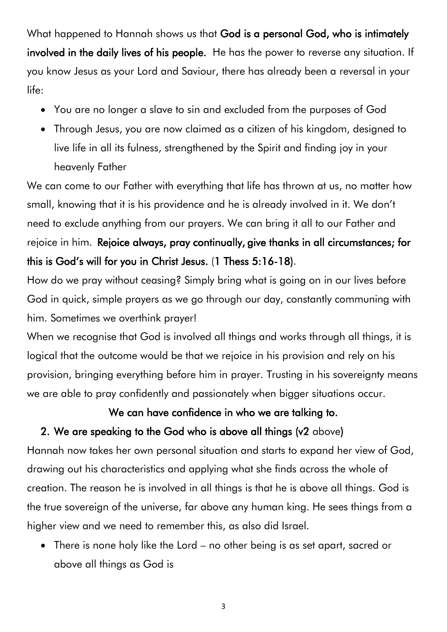What happened to Hannah shows us that God is a personal God, who is intimately involved in the daily lives of his people. He has the power to reverse any situation. If you know Jesus as your Lord and Saviour, there has already been a reversal in your life:

- You are no longer a slave to sin and excluded from the purposes of God
- Through Jesus, you are now claimed as a citizen of his kingdom, designed to live life in all its fulness, strengthened by the Spirit and finding joy in your heavenly Father

We can come to our Father with everything that life has thrown at us, no matter how small, knowing that it is his providence and he is already involved in it. We don't need to exclude anything from our prayers. We can bring it all to our Father and rejoice in him. Rejoice always, pray continually, give thanks in all circumstances; for this is God's will for you in Christ Jesus. (1 Thess 5:16-18).

How do we pray without ceasing? Simply bring what is going on in our lives before God in quick, simple prayers as we go through our day, constantly communing with him. Sometimes we overthink prayer!

When we recognise that God is involved all things and works through all things, it is logical that the outcome would be that we rejoice in his provision and rely on his provision, bringing everything before him in prayer. Trusting in his sovereignty means we are able to pray confidently and passionately when bigger situations occur.

# We can have confidence in who we are talking to.

# 2. We are speaking to the God who is above all things (v2 above)

Hannah now takes her own personal situation and starts to expand her view of God, drawing out his characteristics and applying what she finds across the whole of creation. The reason he is involved in all things is that he is above all things. God is the true sovereign of the universe, far above any human king. He sees things from a higher view and we need to remember this, as also did Israel.

• There is none holy like the Lord – no other being is as set apart, sacred or above all things as God is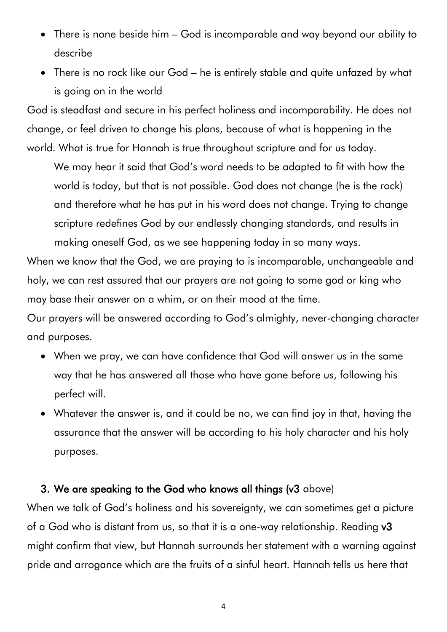- There is none beside him God is incomparable and way beyond our ability to describe
- There is no rock like our God he is entirely stable and quite unfazed by what is going on in the world

God is steadfast and secure in his perfect holiness and incomparability. He does not change, or feel driven to change his plans, because of what is happening in the world. What is true for Hannah is true throughout scripture and for us today.

We may hear it said that God's word needs to be adapted to fit with how the world is today, but that is not possible. God does not change (he is the rock) and therefore what he has put in his word does not change. Trying to change scripture redefines God by our endlessly changing standards, and results in making oneself God, as we see happening today in so many ways.

When we know that the God, we are praying to is incomparable, unchangeable and holy, we can rest assured that our prayers are not going to some god or king who may base their answer on a whim, or on their mood at the time.

Our prayers will be answered according to God's almighty, never-changing character and purposes.

- When we pray, we can have confidence that God will answer us in the same way that he has answered all those who have gone before us, following his perfect will.
- Whatever the answer is, and it could be no, we can find joy in that, having the assurance that the answer will be according to his holy character and his holy purposes.

### 3. We are speaking to the God who knows all things (v3 above)

When we talk of God's holiness and his sovereignty, we can sometimes get a picture of a God who is distant from us, so that it is a one-way relationship. Reading v3 might confirm that view, but Hannah surrounds her statement with a warning against pride and arrogance which are the fruits of a sinful heart. Hannah tells us here that

4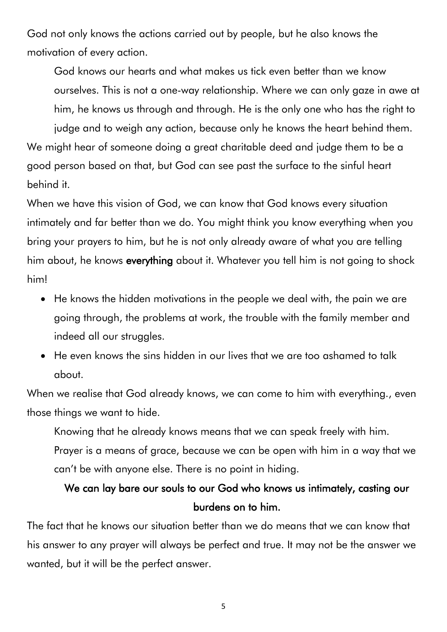God not only knows the actions carried out by people, but he also knows the motivation of every action.

God knows our hearts and what makes us tick even better than we know ourselves. This is not a one-way relationship. Where we can only gaze in awe at him, he knows us through and through. He is the only one who has the right to judge and to weigh any action, because only he knows the heart behind them. We might hear of someone doing a great charitable deed and judge them to be a

good person based on that, but God can see past the surface to the sinful heart behind it.

When we have this vision of God, we can know that God knows every situation intimately and far better than we do. You might think you know everything when you bring your prayers to him, but he is not only already aware of what you are telling him about, he knows everything about it. Whatever you tell him is not going to shock him!

- He knows the hidden motivations in the people we deal with, the pain we are going through, the problems at work, the trouble with the family member and indeed all our struggles.
- He even knows the sins hidden in our lives that we are too ashamed to talk about.

When we realise that God already knows, we can come to him with everything., even those things we want to hide.

Knowing that he already knows means that we can speak freely with him. Prayer is a means of grace, because we can be open with him in a way that we can't be with anyone else. There is no point in hiding.

# We can lay bare our souls to our God who knows us intimately, casting our burdens on to him.

The fact that he knows our situation better than we do means that we can know that his answer to any prayer will always be perfect and true. It may not be the answer we wanted, but it will be the perfect answer.

5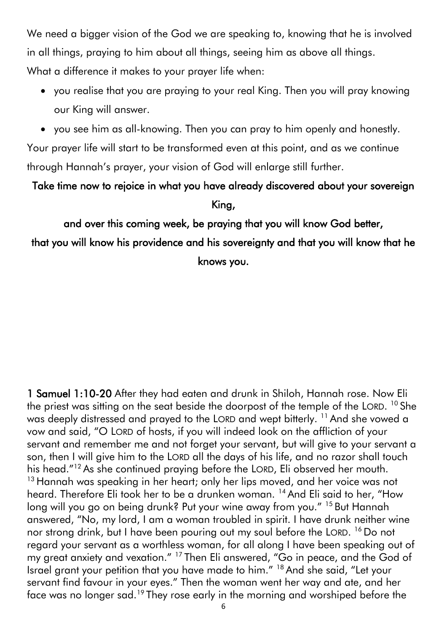We need a bigger vision of the God we are speaking to, knowing that he is involved in all things, praying to him about all things, seeing him as above all things. What a difference it makes to your prayer life when:

- you realise that you are praying to your real King. Then you will pray knowing our King will answer.
- you see him as all-knowing. Then you can pray to him openly and honestly.

Your prayer life will start to be transformed even at this point, and as we continue through Hannah's prayer, your vision of God will enlarge still further.

Take time now to rejoice in what you have already discovered about your sovereign King,

and over this coming week, be praying that you will know God better,

that you will know his providence and his sovereignty and that you will know that he knows you.

1 Samuel 1:10-20 After they had eaten and drunk in Shiloh, Hannah rose. Now Eli the priest was sitting on the seat beside the doorpost of the temple of the LORD.  $^{10}$  She was deeply distressed and prayed to the LORD and wept bitterly. <sup>11</sup> And she vowed a vow and said, "O LORD of hosts, if you will indeed look on the affliction of your servant and remember me and not forget your servant, but will give to your servant a son, then I will give him to the LORD all the days of his life, and no razor shall touch his head."<sup>12</sup> As she continued praying before the LORD, Eli observed her mouth. <sup>13</sup> Hannah was speaking in her heart; only her lips moved, and her voice was not heard. Therefore Eli took her to be a drunken woman. <sup>14</sup> And Eli said to her, "How long will you go on being drunk? Put your wine away from you." <sup>15</sup> But Hannah answered, "No, my lord, I am a woman troubled in spirit. I have drunk neither wine nor strong drink, but I have been pouring out my soul before the LORD. <sup>16</sup> Do not regard your servant as a worthless woman, for all along I have been speaking out of my great anxiety and vexation." <sup>17</sup> Then Eli answered, "Go in peace, and the God of Israel grant your petition that you have made to him." <sup>18</sup> And she said, "Let your servant find favour in your eyes." Then the woman went her way and ate, and her face was no longer sad.<sup>19</sup> They rose early in the morning and worshiped before the